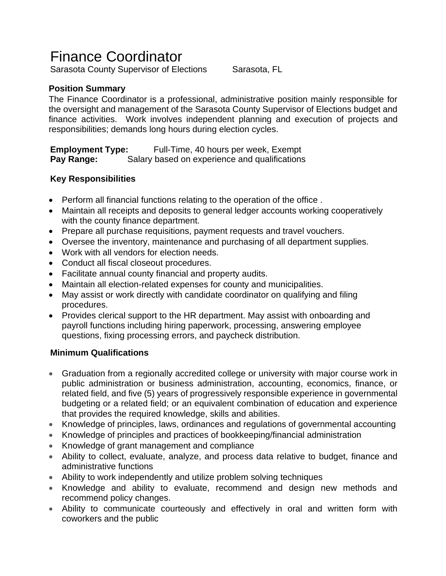# Finance Coordinator

Sarasota County Supervisor of Elections Sarasota, FL

# **Position Summary**

The Finance Coordinator is a professional, administrative position mainly responsible for the oversight and management of the Sarasota County Supervisor of Elections budget and finance activities. Work involves independent planning and execution of projects and responsibilities; demands long hours during election cycles.

**Employment Type:** Full-Time, 40 hours per week, Exempt **Pay Range:** Salary based on experience and qualifications

# **Key Responsibilities**

- Perform all financial functions relating to the operation of the office .
- Maintain all receipts and deposits to general ledger accounts working cooperatively with the county finance department.
- Prepare all purchase requisitions, payment requests and travel vouchers.
- Oversee the inventory, maintenance and purchasing of all department supplies.
- Work with all vendors for election needs.
- Conduct all fiscal closeout procedures.
- Facilitate annual county financial and property audits.
- Maintain all election-related expenses for county and municipalities.
- May assist or work directly with candidate coordinator on qualifying and filing procedures.
- Provides clerical support to the HR department. May assist with onboarding and payroll functions including hiring paperwork, processing, answering employee questions, fixing processing errors, and paycheck distribution.

# **Minimum Qualifications**

- Graduation from a regionally accredited college or university with major course work in public administration or business administration, accounting, economics, finance, or related field, and five (5) years of progressively responsible experience in governmental budgeting or a related field; or an equivalent combination of education and experience that provides the required knowledge, skills and abilities.
- Knowledge of principles, laws, ordinances and regulations of governmental accounting
- Knowledge of principles and practices of bookkeeping/financial administration
- Knowledge of grant management and compliance
- Ability to collect, evaluate, analyze, and process data relative to budget, finance and administrative functions
- Ability to work independently and utilize problem solving techniques
- Knowledge and ability to evaluate, recommend and design new methods and recommend policy changes.
- Ability to communicate courteously and effectively in oral and written form with coworkers and the public